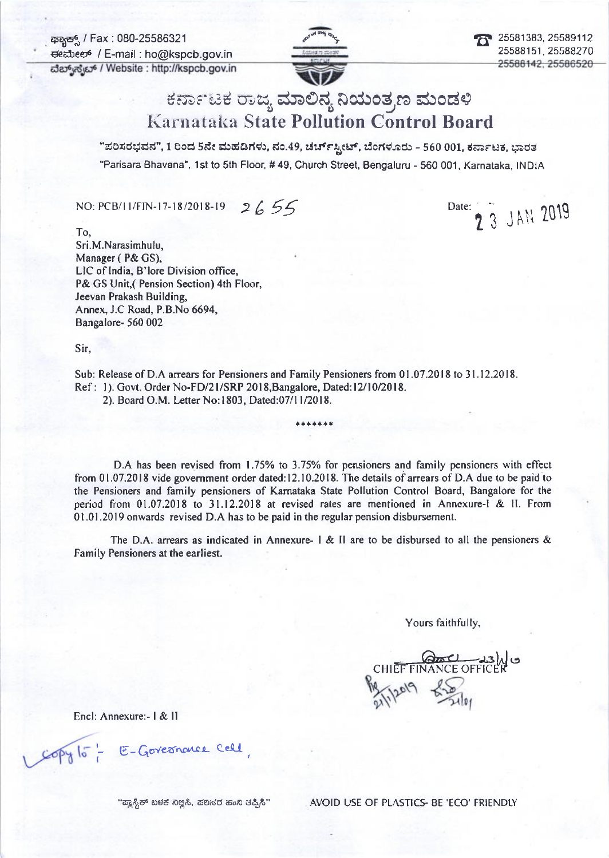ಘ್ನಾ<del>ನ್ಸ್</del> / Fax : 080-25586321 dea\$eef I E-mail: ho@kspcb.gov.in ವೆಬ್ರ್ಯ್ಟ್ / Website : http://kspcb.gov.in



a 25581383, <sup>25589112</sup> 25588151.25588270 25588142.25586520

# ಕರ್ನಾಟಕ ರಾಜ್ಯ <mark>ಮಾಲಿನ್ಯ ನಿಯಂತ್ರಣ ಮಂಡಳಿ</mark> Karnataka State Pollution Control Board

"ಪರಿಸರಭವನ", 1 ರಿಂದ 5ನೇ ಮಹಡಿಗಳು, ನಂ.49, ಚರ್ಚ್ಸ್ರೀಟ್, ಬೆಂಗಳೂರು - 560 001, ಕರ್ನಾಟಕ, ಭಾರತ "Parisara Bhavana", 1st to 5th Floor, # 49, Church Street, Bengaluru - 560 001, Karnataka, INDIA

### NO: PCB/II/FIN-17-18/2018-19 2655

Date:  $\frac{1}{2}$ JA\l ?o1g

To, Sri.M.Narasimhulu, Manager ( P& CS), LIC of India, B'lore Division office, P& GS Unit,( Pension Section) 4th Floor, Jeevan Prakash Building, Annex, J.C Road, P.B.No 6694, Bangalore- 560 002

Sir,

Sub: Release of D.A arrears for Pensioners and Family Pensioners from 01.07.2018 to 31.12.2018. Ref : 1). Govt. Order No-FD/21/SRP 2018, Bangalore, Dated:12/10/2018. 2). Board O.M. Letter No: 1803, Dated:07/11/2018.

D.A has been revised from 1.75% to 3.75% for pensioners and family pensioners with effect from 01.07.2018 vide government order dated: 12.10.2018. The details of arrears of D.A due to be paid to the Pensioners and family pensioners of Kamataka State Pollution Control Board, Bangalore for the period from 01.07.2018 to 31.12.2018 at revised rates are mentioned in Annexure-I & II. From 01.01.2019 onwards revised D.A has to be paid in the regular pension disbursement.

\*)t+a\*\*\*

The D.A. arrears as indicated in Annexure- 1 & II are to be disbursed to all the pensioners  $\&$ Family Pensioners at the earliest.

Yours faithfully,

CHIEF FINANCE OFFICER

Encl: Annexure:-l&ll

t E-Governance cell,

"ಹ್ವಾಸ್ಗಿಕ್ ಬಳಕೆ ನಿಲ್ಲಿಸಿ, ಪಲಸರ ಹಾನಿ ತಪ್ಪಿಸಿ" \_\_\_\_\_\_\_\_ AVOID USE OF PLASTICS- BE 'ECO' FRIENDLY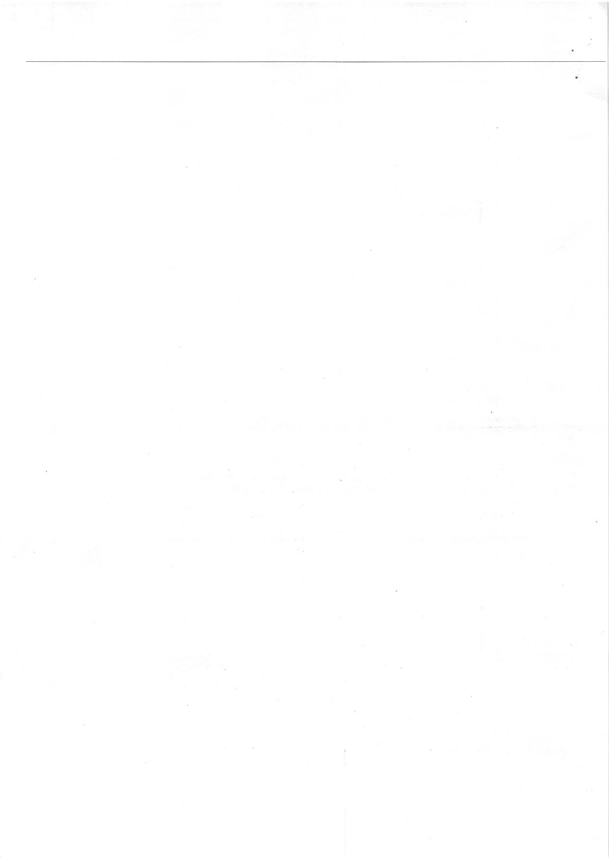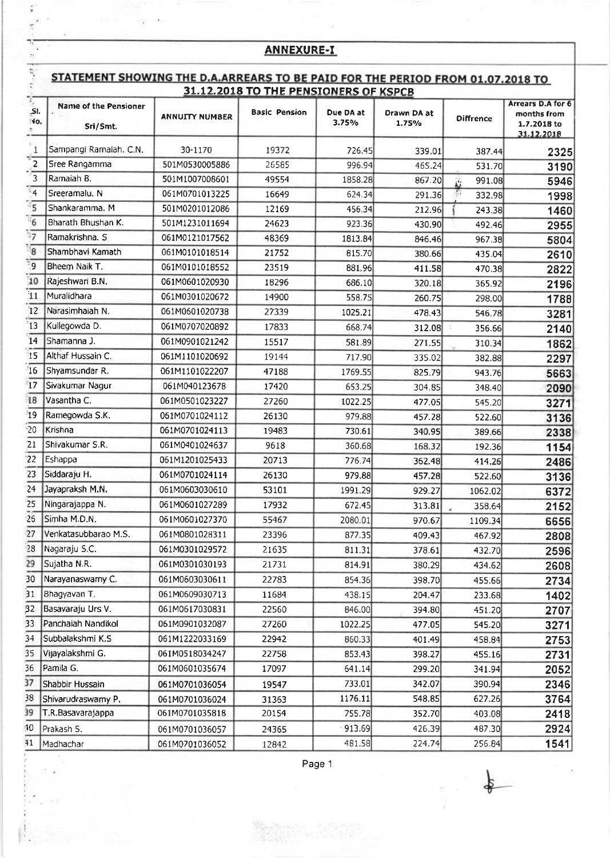## **ANNEXURE-I**

 $\zeta$  $\tilde{\mathbf{r}}^{\star}$ 

 $\begin{bmatrix} \mathbf{r}^{\mathbf{r}} & \mathbf{r}^{\mathbf{r}} \\ \mathbf{r}^{\mathbf{r}} & \mathbf{r}^{\mathbf{r}} \end{bmatrix} = \begin{bmatrix} \mathbf{r}^{\mathbf{r}} & \mathbf{r}^{\mathbf{r}} \\ \mathbf{r}^{\mathbf{r}} & \mathbf{r}^{\mathbf{r}} \end{bmatrix}$ 

192

#### STATEMENT SHOWING THE D.A.ARREARS TO BE PAID FOR THE PERIOD FROM 01.07.2018 TO 31.12.2018 TO THE PENSIONERS OF KSPCR

|                  |                                   |                       | <b>PERMIT TO THE FERDRONERS OF ROLLO</b> |                    |                      |                           |                                                               |
|------------------|-----------------------------------|-----------------------|------------------------------------------|--------------------|----------------------|---------------------------|---------------------------------------------------------------|
| SI.<br>No.<br>리. | Name of the Pensioner<br>Sri/Smt. | <b>ANNUITY NUMBER</b> | <b>Basic Pension</b>                     | Due DA at<br>3.75% | Drawn DA at<br>1.75% | <b>Diffrence</b>          | Arrears D.A for 6<br>months from<br>1.7.2018 to<br>31.12.2018 |
| $\mathbf{1}$     | Sampangi Ramaiah. C.N.            | 30-1170               | 19372                                    | 726.45             | 339.01               | 387.44                    | 2325                                                          |
| 2                | Sree Rangamma                     | 501M0530005886        | 26585                                    | 996.94             | 465.24               | 531.70                    | 3190                                                          |
| 3                | Ramaiah B.                        | 501M1007008601        | 49554                                    | 1858.28            | 867.20               | 991.08<br>ú               | 5946                                                          |
| $\ddot{4}$       | Sreeramalu, N                     | 061M0701013225        | 16649                                    | 624.34             | 291.36               | $\frac{1}{2}$ ,<br>332.98 | 1998                                                          |
| 5                | Shankaramma, M                    | 501M0201012086        | 12169                                    | 456.34             | 212.96               | 243.38                    | 1460                                                          |
| 6                | Bharath Bhushan K.                | 501M1231011694        | 24623                                    | 923.36             | 430.90               | 492.46                    | 2955                                                          |
| -7               | Ramakrishna. S                    | 061M0121017562        | 48369                                    | 1813.84            | 846.46               | 967.38                    | 5804                                                          |
| $^{\rm 8}$       | Shambhavi Kamath                  | 061M0101018514        | 21752                                    | 815.70             | 380.66               | 435.04                    | 2610                                                          |
| 9                | Bheem Naik T.                     | 061M0101018552        | 23519                                    | 881.96             | 411.58               | 470.38                    | 2822                                                          |
| 10               | Rajeshwari B.N.                   | 061M0601020930        | 18296                                    | 686.10             | 320.18               | 365.92                    | 2196                                                          |
| 11               | Muralidhara                       | 061M0301020672        | 14900                                    | 558.75             | 260.75               | 298.00                    | 1788                                                          |
| 12               | Narasimhaiah N.                   | 061M0601020738        | 27339                                    | 1025.21            | 478.43               | 546.78                    | 3281                                                          |
| 13               | Kullegowda D.                     | 061M0707020892        | 17833                                    | 668.74             | 312.08               | 356.66                    | 2140                                                          |
| 14               | Shamanna J.                       | 061M0901021242        | 15517                                    | 581.89             | 271.55               | 310.34                    | 1862                                                          |
| 15               | Althaf Hussain C.                 | 061M1101020692        | 19144                                    | 717.90             | 335.02               | 382.88                    | 2297                                                          |
| 16               | Shyamsundar R.                    | 061M1101022207        | 47188                                    | 1769.55            | 825.79               | 943.76                    | 5663                                                          |
| 17               | Sivakumar Nagur                   | 061M040123678         | 17420                                    | 653.25             | 304.85               | 348.40                    | 2090                                                          |
| 18               | Vasantha C.                       | 061M0501023227        | 27260                                    | 1022.25            | 477.05               | 545.20                    | 3271                                                          |
| 19               | Ramegowda S.K.                    | 061M0701024112        | 26130                                    | 979.88             | 457.28               | 522.60                    | 3136                                                          |
| 20               | Krishna                           | 061M0701024113        | 19483                                    | 730.61             | 340.95               | 389.66                    | 2338                                                          |
| 21               | Shivakumar S.R.                   | 061M0401024637        | 9618                                     | 360.68             | 168.32               | 192.36                    | 1154                                                          |
| 22               | Eshappa                           | 061M1201025433        | 20713                                    | 776.74             | 362.48               | 414.26                    | 2486                                                          |
| 23               | Siddaraju H.                      | 061M0701024114        | 26130                                    | 979.88             | 457.28               | 522.60                    | 3136                                                          |
| 24               | Jayapraksh M.N.                   | 061M0603030610        | 53101                                    | 1991.29            | 929.27               | 1062.02                   | 6372                                                          |
| 25               | Ningarajappa N.                   | 061M0601027289        | 17932                                    | 672.45             | 313.81               | 358.64                    | 2152                                                          |
| 26               | Simha M.D.N.                      | 061M0601027370        | 55467                                    | 2080.01            | 970.67               | 1109.34                   | 6656                                                          |
| 27               | Venkatasubbarao M.S.              | 061M0801028311        | 23396                                    | 877.35             | 409.43               | 467.92                    | 2808                                                          |
|                  | 28 Nagaraju S.C.                  | 061M0301029572        | 21635                                    | 811.31             | 378.61               | 432.70                    | 2596                                                          |
|                  | 29 Sujatha N.R.                   | 061M0301030193        | 21731                                    | 814.91             | 380.29               | 434.62                    | 2608                                                          |
| 30               | Narayanaswamy C.                  | 061M0603030611        | 22783                                    | 854.36             | 398.70               | 455.66                    | 2734                                                          |
| 31               | Bhagyavan T.                      | 061M0609030713        | 11684                                    | 438.15             | 204.47               | 233.68                    | 1402                                                          |
| 32               | Basavaraju Urs V.                 | 061M0617030831        | 22560                                    | 846.00             | 394.80               | 451.20                    | 2707                                                          |
| 33               | Panchaiah Nandikol                | 061M0901032087        | 27260                                    | 1022.25            | 477.05               | 545.20                    | 3271                                                          |
| 34               | Subbalakshmi K.S                  | 061M1222033169        | 22942                                    | 860.33             | 401.49               | 458.84                    | 2753                                                          |
| 35               | Vijayalakshmi G.                  | 061M0518034247        | 22758                                    | 853.43             | 398.27               | 455.16                    | 2731                                                          |
| 36               | Pamila G.                         | 061M0601035674        | 17097                                    | 641.14             | 299.20               | 341.94                    | 2052                                                          |
| 37               | Shabbir Hussain                   | 061M0701036054        | 19547                                    | 733.01             | 342.07               | 390.94                    | 2346                                                          |
| 38               | Shivarudraswamy P.                | 061M0701036024        | 31363                                    | 1176.11            | 548.85               | 627.26                    | 3764                                                          |
| 39               | T.R.Basavarajappa                 | 061M0701035818        | 20154                                    | 755.78             | 352.70               | 403.08                    | 2418                                                          |
| ł0               | Prakash S.                        | 061M0701036057        | 24365                                    | 913.69             | 426.39               | 487.30                    | 2924                                                          |
| $\overline{1}$   | Madhachar                         | 061M0701036052        | 12842                                    | 481.58             | 224.74               | 256.84                    | 1541                                                          |

Page 1

 $\frac{1}{2}$ 

 $\bar{\kappa}$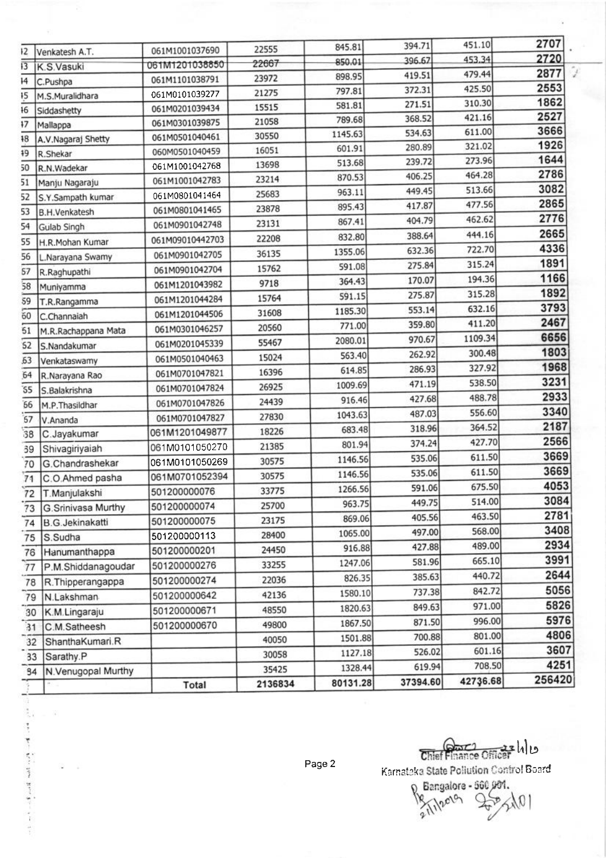|          |                        | 061M1001037690  | 22555          | 845.81   | 394.71   | 451.10   | 2707   |
|----------|------------------------|-----------------|----------------|----------|----------|----------|--------|
| 12       | Venkatesh A.T.         | 061M1201038850  | 22667          | 850.01   | 396.67   | 453.34   | 2720   |
| Ī3       | K.S.Vasuki             | 061M1101038791  | 23972          | 898.95   | 419.51   | 479.44   | 2877   |
| 14       | C.Pushpa               | 061M0101039277  | 21275          | 797.81   | 372.31   | 425.50   | 2553   |
| ł5       | M.S.Muralidhara        | 061M0201039434  | 15515          | 581.81   | 271.51   | 310.30   | 1862   |
| #6<br>17 | Siddashetty            | 061M0301039875  | 21058          | 789.68   | 368.52   | 421.16   | 2527   |
| 18       | Mallappa               | 061M0501040461  | 30550          | 1145.63  | 534.63   | 611.00   | 3666   |
|          | A.V.Nagaraj Shetty     | 060M0501040459  | 16051          | 601.91   | 280.89   | 321.02   | 1926   |
| 49       | R.Shekar               | 061M1001042768  | 13698          | 513.68   | 239.72   | 273.96   | 1644   |
| 50<br>51 | R.N.Wadekar            | 061M1001042783  | 23214          | 870.53   | 406.25   | 464.28   | 2786   |
| 52       | Manju Nagaraju         | 061M0801041464  | 25683          | 963.11   | 449.45   | 513.66   | 3082   |
|          | S.Y.Sampath kumar      | 061M0801041465  | 23878          | 895.43   | 417.87   | 477.56   | 2865   |
| 53       | <b>B.H.Venkatesh</b>   | 061M0901042748  | 23131          | 867.41   | 404.79   | 462.62   | 2776   |
| 54       | Gulab Singh            | 061M09010442703 | 22208          | 832.80   | 388.64   | 444.16   | 2665   |
| 55       | H.R.Mohan Kumar        | 061M0901042705  | 36135          | 1355.06  | 632.36   | 722.70   | 4336   |
| 56       | L.Narayana Swamy       | 061M0901042704  | 15762          | 591.08   | 275.84   | 315.24   | 1891   |
| 57       | R.Raghupathi           |                 | 9718           | 364.43   | 170.07   | 194.36   | 1166   |
| 58       | Muniyamma              | 061M1201043982  | 15764          | 591.15   | 275.87   | 315.28   | 1892   |
| 59       | T.R.Rangamma           | 061M1201044284  | 31608          | 1185.30  | 553.14   | 632.16   | 3793   |
| 60       | C.Channaiah            | 061M1201044506  | 20560          | 771.00   | 359.80   | 411.20   | 2467   |
| 51       | M.R.Rachappana Mata    | 061M0301046257  | 55467          | 2080.01  | 970.67   | 1109.34  | 6656   |
| 52       | S.Nandakumar           | 061M0201045339  |                | 563.40   | 262.92   | 300.48   | 1803   |
| 53       | Venkataswamy           | 061M0501040463  | 15024          | 614.85   | 286.93   | 327.92   | 1968   |
| 64       | R.Narayana Rao         | 061M0701047821  | 16396<br>26925 | 1009.69  | 471.19   | 538.50   | 3231   |
| 55       | S.Balakrishna          | 061M0701047824  |                | 916.46   | 427.68   | 488.78   | 2933   |
| 66       | M.P.Thasildhar         | 061M0701047826  | 24439          | 1043.63  | 487.03   | 556.60   | 3340   |
| 57       | V.Ananda               | 061M0701047827  | 27830          | 683.48   | 318.96   | 364.52   | 2187   |
| 38       | C.Jayakumar            | 061M1201049877  | 18226          | 801.94   | 374.24   | 427.70   | 2566   |
| 39       | Shivagiriyaiah         | 061M0101050270  | 21385          | 1146.56  | 535.06   | 611.50   | 3669   |
| 70       | G.Chandrashekar        | 061M0101050269  | 30575          | 1146.56  | 535.06   | 611.50   | 3669   |
| 71       | C.O.Ahmed pasha        | 061M0701052394  | 30575          | 1266.56  | 591.06   | 675.50   | 4053   |
| 72       | T.Manjulakshi          | 501200000076    | 33775          | 963.75   | 449.75   | 514.00   | 3084   |
| 73       | G.Srinivasa Murthy     | 501200000074    | 25700          | 869.06   | 405.56   | 463.50   | 2781   |
| 74       | <b>B.G.Jekinakatti</b> | 501200000075    | 23175          | 1065.00  | 497.00   | 568.00   | 3408   |
| 75       | S.Sudha                | 501200000113    | 28400          |          | 427.88   | 489.00   | 2934   |
| 76       | Hanumanthappa          | 501200000201    | 24450          | 916.88   | 581.96   | 665.10   | 3991   |
| 77       | P.M.Shiddanagoudar     | 501200000276    | 33255          | 1247.06  | 385.63   | 440.72   | 2644   |
| 78       | R.Thipperangappa       | 501200000274    | 22036          | 826.35   |          | 842.72   | 5056   |
| 79       | N.Lakshman             | 501200000642    | 42136          | 1580.10  | 737.38   | 971.00   | 5826   |
| 30       | K.M.Lingaraju          | 501200000671    | 48550          | 1820.63  | 849.63   |          |        |
| 31       | C.M.Satheesh           | 501200000670    | 49800          | 1867.50  | 871.50   | 996.00   | 5976   |
| 32       | ShanthaKumari.R        |                 | 40050          | 1501.88  | 700.88   | 801.00   | 4806   |
| 33       | Sarathy P              |                 | 30058          | 1127.18  | 526.02   | 601.16   | 3607   |
| 34       | N.Venugopal Murthy     |                 | 35425          | 1328.44  | 619.94   | 708.50   | 4251   |
| Τ        |                        | Total           | 2136834        | 80131.28 | 37394.60 | 42736.68 | 256420 |

 $\frac{Q_{\text{max-2}}}{\text{Chief Finance Officer}}$ 

Karnataka State Poliution Control Board<br>Reangalore - 560 001.  $211$ 

Page 2

 $\label{eq:2.1} \frac{1}{\sqrt{2}}\left(\frac{1}{\sqrt{2}}\right)^{2}=\frac{1}{2}\left(\frac{1}{\sqrt{2}}\right)^{2}=\frac{1}{2}\left(\frac{1}{\sqrt{2}}\right)^{2}=\frac{1}{2}\left(\frac{1}{\sqrt{2}}\right)^{2}=\frac{1}{2}\left(\frac{1}{\sqrt{2}}\right)^{2}=\frac{1}{2}\left(\frac{1}{\sqrt{2}}\right)^{2}=\frac{1}{2}\left(\frac{1}{\sqrt{2}}\right)^{2}=\frac{1}{2}\left(\frac{1}{\sqrt{2}}\right)^{2}=\frac{1}{2}\left(\frac{1}{\sqrt$ 

 $\frac{1}{2}$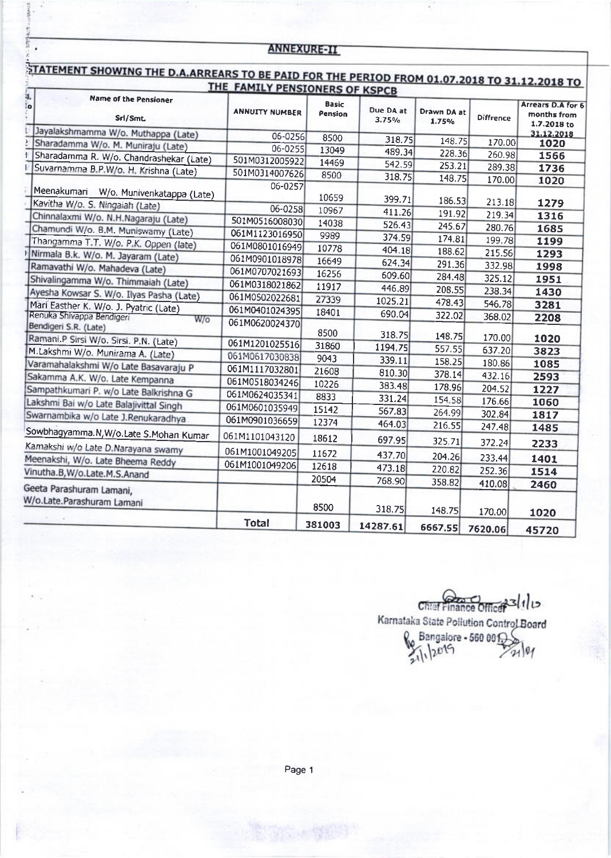#### **ANNEXURE-II**

ť

 $\ddot{\phantom{0}}$  $\frac{1}{2}$ 

|          | <b>28 1100 12010 10 31.12.2018 TO</b><br>THE FAMILY PENSIONERS OF KSPCB |                       |                  |                    |                      |                  |                                                 |  |  |  |
|----------|-------------------------------------------------------------------------|-----------------------|------------------|--------------------|----------------------|------------------|-------------------------------------------------|--|--|--|
| ā.<br>'o | Name of the Pensioner<br>Srl/Smt.                                       | <b>ANNUITY NUMBER</b> | Basic<br>Pension | Due DA at<br>3.75% | Drawn DA at<br>1.75% | <b>Diffrence</b> | Arrears D.A for 6<br>months from<br>1.7.2018 to |  |  |  |
|          | Jayalakshmamma W/o. Muthappa (Late)                                     | 06-0256               | 8500             | 318.75             |                      |                  | 31.12.2018                                      |  |  |  |
|          | Sharadamma W/o. M. Muniraju (Late)                                      | 06-0255               | 13049            | 489.34             | 148.75               | 170.00           | 1020                                            |  |  |  |
|          | Sharadamma R. W/o. Chandrashekar (Late)                                 | 501M0312005922        | 14469            | 542.59             | 228.36               | 260.98           | 1566                                            |  |  |  |
|          | Suvarnamma B.P.W/o. H. Krishna (Late)                                   | 501M0314007626        | 8500             | 318.75             | 253.21               | 289.38           | 1736                                            |  |  |  |
|          | Meenakumari W/o. Munivenkatappa (Late)                                  | 06-0257               | 10659            | 399.71             | 148.75               | 170.00           | 1020                                            |  |  |  |
|          | Kavitha W/o. S. Ningaiah (Late)                                         | 06-0258               | 10967            |                    | 186.53               | 213.18           | 1279                                            |  |  |  |
|          | Chinnalaxmi W/o. N.H.Nagaraju (Late)                                    | 501M0516008030        | 14038            | 411.26             | 191.92               | 219.34           | 1316                                            |  |  |  |
|          | Chamundi W/o. B.M. Muniswamy (Late)                                     | 061M1123016950        | 9989             | 526.43             | 245.67               | 280.76           | 1685                                            |  |  |  |
|          | Thangamma T.T. W/o. P.K. Oppen (late)                                   | 061M0801016949        | 10778            | 374.59             | 174.81               | 199.78           | 1199                                            |  |  |  |
|          | Nirmala B.k. W/o. M. Jayaram (Late)                                     | 061M0901018978        | 16649            | 404.18             | 188.62               | 215.56           | 1293                                            |  |  |  |
|          | Ramavathi W/o. Mahadeva (Late)                                          | 061M0707021693        | 16256            | 624.34             | 291.36               | 332.98           | 1998                                            |  |  |  |
|          | Shivalingamma W/o. Thimmaiah (Late)                                     | 061M0318021862        |                  | 609.60             | 284.48               | 325.12           | 1951                                            |  |  |  |
|          | Ayesha Kowsar S. W/o. Ilyas Pasha (Late)                                | 061M0502022681        | 11917            | 446.89             | 208.55               | 238.34           | 1430                                            |  |  |  |
|          | Mari Easther K. W/o. J. Pyatric (Late)                                  | 061M0401024395        | 27339            | 1025.21            | 478.43               | 546.78           | 3281                                            |  |  |  |
|          | Renuka Shivappa Bendigeri<br>W/o                                        | 061M0620024370        | 18401            | 690.04             | 322.02               | 368.02           | 2208                                            |  |  |  |
|          | Bendigeri S.R. (Late)                                                   |                       | 8500             | 318.75             |                      |                  |                                                 |  |  |  |
|          | Ramani.P Sirsi W/o. Sirsi. P.N. (Late)                                  | 061M1201025516        | 31860            | 1194.75            | 148.75               | 170.00           | 1020                                            |  |  |  |
|          | M.Lakshmi W/o. Munirama A. (Late)                                       | 061M0617030838        | 9043             | 339.11             | 557.55               | 637.20           | 3823                                            |  |  |  |
|          | Varamahalakshmi W/o Late Basavaraju P                                   | 061M1117032801        | 21608            |                    | 158.25               | 180.86           | 1085                                            |  |  |  |
|          | Sakamma A.K. W/o. Late Kempanna                                         | 061M0518034246        | 10226            | 810.30             | 378.14               | 432.16           | 2593                                            |  |  |  |
|          | Sampathkumari P. w/o Late Balkrishna G                                  | 061M0624035341        | 8833             | 383.48             | 178.96               | 204.52           | 1227                                            |  |  |  |
|          | Lakshmi Bai w/o Late Balajivittal Singh                                 | 061M0601035949        | 15142            | 331.24             | 154.58               | 176.66           | 1060                                            |  |  |  |
|          | Swarnambika w/o Late J.Renukaradhya                                     | 061M0901036659        |                  | 567.83             | 264.99               | 302.84           | 1817                                            |  |  |  |
|          | Sowbhagyamma.N, W/o.Late S.Mohan Kumar                                  |                       | 12374            | 464.03             | 216.55               | 247.48           | 1485                                            |  |  |  |
|          |                                                                         | 061M1101043120        | 18612            | 697.95             | 325.71               | 372.24           | 2233                                            |  |  |  |
|          | Kamakshi w/o Late D.Narayana swamy                                      | 061M1001049205        | 11672            | 437.70             | 204.26               | 233.44           | 1401                                            |  |  |  |
|          | Meenakshi, W/o. Late Bheema Reddy                                       | 061M1001049206        | 12618            | 473.18             | 220.82               | 252.36           | 1514                                            |  |  |  |
|          | Vinutha.B, W/o.Late.M.S.Anand                                           |                       | 20504            | 768.90             | 358.82               | 410.08           |                                                 |  |  |  |
|          | Geeta Parashuram Lamani,<br>W/o.Late.Parashuram Lamani                  |                       | 8500             | 318.75             | 148.75               | 170.00           | 2460                                            |  |  |  |
|          |                                                                         | <b>Total</b>          | 381003           | 14287.61           | 6667.55              | 76200C           | 1020<br>A E T R                                 |  |  |  |

# STATEMENT SHOWING THE D.A.ARREARS TO BE PAID FOR THE PERIOD FROM

Chief Finance Officer<sup>3</sup>/1/1 Karnataka State Pollution Control Board<br>
Pangalore - 560 001

Page 1